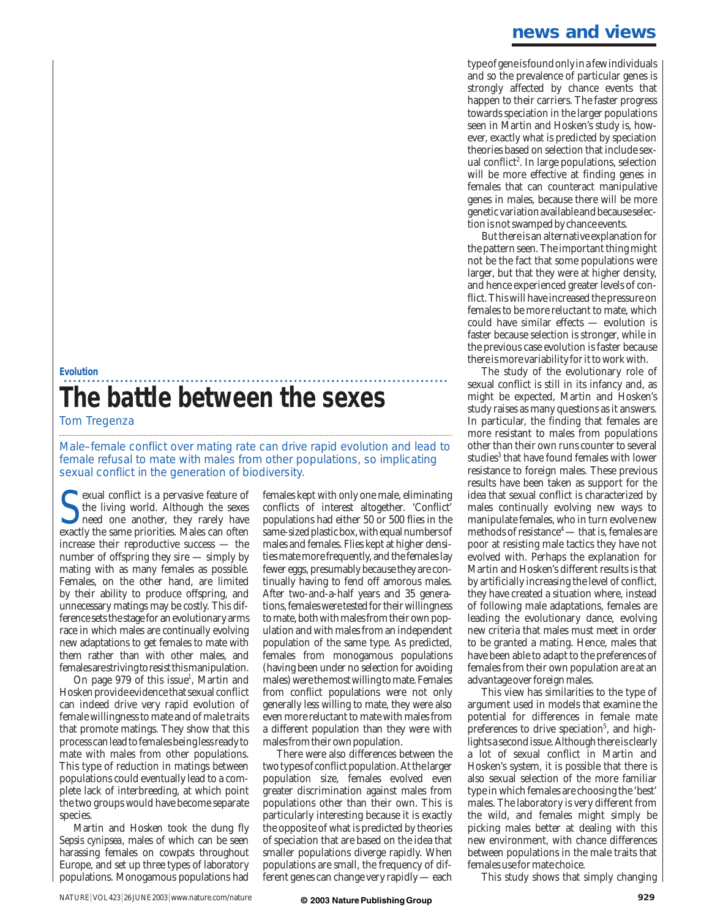## **Evolution The battle between the sexes**

Tom Tregenza

Male–female conflict over mating rate can drive rapid evolution and lead to female refusal to mate with males from other populations, so implicating sexual conflict in the generation of biodiversity.

Sexual conflict is a pervasive feature of the living world. Although the sexes need one another, they rarely have exactly the same priorities. Males can often exual conflict is a pervasive feature of the living world. Although the sexes need one another, they rarely have increase their reproductive success — the number of offspring they sire — simply by mating with as many females as possible. Females, on the other hand, are limited by their ability to produce offspring, and unnecessary matings may be costly. This difference sets the stage for an evolutionary arms race in which males are continually evolving new adaptations to get females to mate with them rather than with other males, and females are striving to resist this manipulation.

On page 979 of this issue<sup>1</sup>, Martin and Hosken provide evidence that sexual conflict can indeed drive very rapid evolution of female willingness to mate and of male traits that promote matings. They show that this process can lead to females being less ready to mate with males from other populations. This type of reduction in matings between populations could eventually lead to a complete lack of interbreeding, at which point the two groups would have become separate species.

Martin and Hosken took the dung fly *Sepsis cynipsea*, males of which can be seen harassing females on cowpats throughout Europe, and set up three types of laboratory populations. Monogamous populations had

females kept with only one male, eliminating conflicts of interest altogether. 'Conflict' populations had either 50 or 500 flies in the same-sized plastic box, with equal numbers of males and females. Flies kept at higher densities mate more frequently, and the females lay fewer eggs, presumably because they are continually having to fend off amorous males. After two-and-a-half years and 35 generations, females were tested for their willingness to mate, both with males from their own population and with males from an independent population of the same type. As predicted, females from monogamous populations (having been under no selection for avoiding males) were the most willing to mate. Females from conflict populations were not only generally less willing to mate, they were also even more reluctant to mate with males from a different population than they were with males from their own population.

There were also differences between the two types of conflict population. At the larger population size, females evolved even greater discrimination against males from populations other than their own. This is particularly interesting because it is exactly the opposite of what is predicted by theories of speciation that are based on the idea that smaller populations diverge rapidly. When populations are small, the frequency of different genes can change very rapidly — each

## **news and views**

type of gene is found only in a few individuals and so the prevalence of particular genes is strongly affected by chance events that happen to their carriers. The faster progress towards speciation in the larger populations seen in Martin and Hosken's study is, however, exactly what is predicted by speciation theories based on selection that include sexual conflict<sup>2</sup>. In large populations, selection will be more effective at finding genes in females that can counteract manipulative genes in males, because there will be more genetic variation available and because selection is not swamped by chance events.

But there is an alternative explanation for the pattern seen. The important thing might not be the fact that some populations were larger, but that they were at higher density, and hence experienced greater levels of conflict. This will have increased the pressure on females to be more reluctant to mate, which could have similar effects — evolution is faster because selection is stronger, while in the previous case evolution is faster because there is more variability for it to work with.

The study of the evolutionary role of sexual conflict is still in its infancy and, as might be expected, Martin and Hosken's study raises as many questions as it answers. In particular, the finding that females are more resistant to males from populations other than their own runs counter to several studies<sup>3</sup> that have found females with lower resistance to foreign males. These previous results have been taken as support for the idea that sexual conflict is characterized by males continually evolving new ways to manipulate females, who in turn evolve new methods of resistance<sup>4</sup> — that is, females are poor at resisting male tactics they have not evolved with. Perhaps the explanation for Martin and Hosken's different results is that by artificially increasing the level of conflict, they have created a situation where, instead of following male adaptations, females are leading the evolutionary dance, evolving new criteria that males must meet in order to be granted a mating. Hence, males that have been able to adapt to the preferences of females from their own population are at an advantage over foreign males.

This view has similarities to the type of argument used in models that examine the potential for differences in female mate preferences to drive speciation<sup>5</sup>, and highlights a second issue. Although there is clearly a lot of sexual conflict in Martin and Hosken's system, it is possible that there is also sexual selection of the more familiar type in which females are choosing the 'best' males. The laboratory is very different from the wild, and females might simply be picking males better at dealing with this new environment, with chance differences between populations in the male traits that females use for mate choice.

This study shows that simply changing